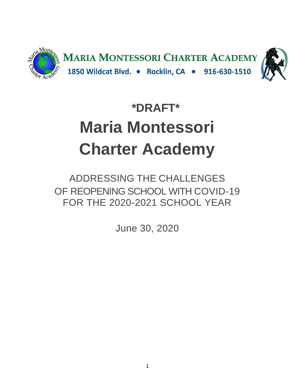

# **\*DRAFT\* Maria Montessori Charter Academy**

ADDRESSING THE CHALLENGES OF REOPENING SCHOOL WITH COVID-19 FOR THE 2020-2021 SCHOOL YEAR

June 30, 2020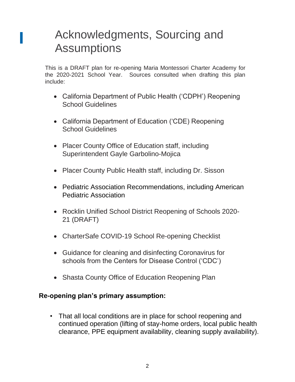## Acknowledgments, Sourcing and **Assumptions**

This is a DRAFT plan for re-opening Maria Montessori Charter Academy for the 2020-2021 School Year. Sources consulted when drafting this plan include:

- California Department of Public Health ('CDPH') Reopening School Guidelines
- California Department of Education ('CDE) Reopening School Guidelines
- Placer County Office of Education staff, including Superintendent Gayle Garbolino-Mojica
- Placer County Public Health staff, including Dr. Sisson
- Pediatric Association Recommendations, including American Pediatric Association
- Rocklin Unified School District Reopening of Schools 2020- 21 (DRAFT)
- CharterSafe COVID-19 School Re-opening Checklist
- Guidance for cleaning and disinfecting Coronavirus for schools from the Centers for Disease Control ('CDC')
- Shasta County Office of Education Reopening Plan

#### **Re-opening plan's primary assumption:**

• That all local conditions are in place for school reopening and continued operation (lifting of stay-home orders, local public health clearance, PPE equipment availability, cleaning supply availability).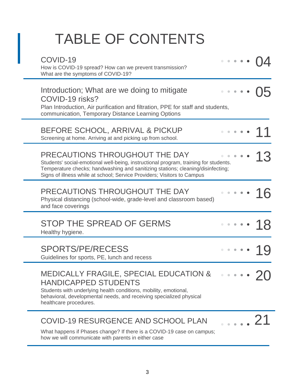# TABLE OF CONTENTS

| COVID-19<br>How is COVID-19 spread? How can we prevent transmission?<br>What are the symptoms of COVID-19?                                                                                                                                                                           |                                                                       |  |             |
|--------------------------------------------------------------------------------------------------------------------------------------------------------------------------------------------------------------------------------------------------------------------------------------|-----------------------------------------------------------------------|--|-------------|
| Introduction; What are we doing to mitigate<br>COVID-19 risks?<br>Plan Introduction, Air purification and filtration, PPE for staff and students,<br>communication, Temporary Distance Learning Options                                                                              |                                                                       |  |             |
| BEFORE SCHOOL, ARRIVAL & PICKUP<br>Screening at home. Arriving at and picking up from school.                                                                                                                                                                                        |                                                                       |  |             |
| PRECAUTIONS THROUGHOUT THE DAY<br>Students' social-emotional well-being, instructional program, training for students.<br>Temperature checks; handwashing and sanitizing stations; cleaning/disinfecting;<br>Signs of illness while at school; Service Providers; Visitors to Campus |                                                                       |  |             |
| PRECAUTIONS THROUGHOUT THE DAY<br>Physical distancing (school-wide, grade-level and classroom based)<br>and face coverings                                                                                                                                                           |                                                                       |  |             |
| STOP THE SPREAD OF GERMS<br>Healthy hygiene.                                                                                                                                                                                                                                         |                                                                       |  |             |
| <b>SPORTS/PE/RECESS</b><br>Guidelines for sports, PE, lunch and recess                                                                                                                                                                                                               | $\begin{array}{cccccccccccccc} 0 & 0 & 0 & 0 & 0 & 0 & 0 \end{array}$ |  |             |
| MEDICALLY FRAGILE, SPECIAL EDUCATION &<br><b>HANDICAPPED STUDENTS</b><br>Students with underlying health conditions, mobility, emotional,<br>behavioral, developmental needs, and receiving specialized physical<br>healthcare procedures.                                           |                                                                       |  |             |
| COVID-19 RESURGENCE AND SCHOOL PLAN<br>What happens if Phases change? If there is a COVID-19 case on campus;<br>how we will communicate with parents in either case                                                                                                                  |                                                                       |  | $\ldots$ 21 |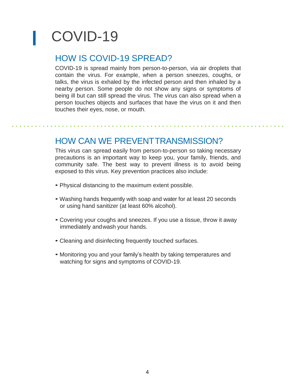# COVID-19

#### HOW IS COVID-19 SPREAD?

COVID-19 is spread mainly from person-to-person, via air droplets that contain the virus. For example, when a person sneezes, coughs, or talks, the virus is exhaled by the infected person and then inhaled by a nearby person. Some people do not show any signs or symptoms of being ill but can still spread the virus. The virus can also spread when a person touches objects and surfaces that have the virus on it and then touches their eyes, nose, or mouth.

#### HOW CAN WE PREVENTTRANSMISSION?

This virus can spread easily from person-to-person so taking necessary precautions is an important way to keep you, your family, friends, and community safe. The best way to prevent illness is to avoid being exposed to this virus. Key prevention practices also include:

- Physical distancing to the maximum extent possible.
- Washing hands frequently with soap and water for at least 20 seconds or using hand sanitizer (at least 60% alcohol).
- Covering your coughs and sneezes. If you use a tissue, throw it away immediately andwash your hands.
- Cleaning and disinfecting frequently touched surfaces.
- Monitoring you and your family's health by taking temperatures and watching for signs and symptoms of COVID-19.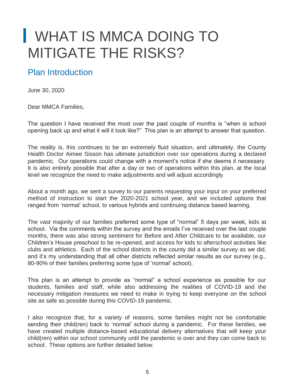# WHAT IS MMCA DOING TO MITIGATE THE RISKS?

## Plan Introduction

June 30, 2020

Dear MMCA Families,

The question I have received the most over the past couple of months is "when is school opening back up and what it will it look like?" This plan is an attempt to answer that question.

The reality is, this continues to be an extremely fluid situation, and ultimately, the County Health Doctor Aimee Sisson has ultimate jurisdiction over our operations during a declared pandemic. Our operations could change with a moment's notice if she deems it necessary. It is also entirely possible that after a day or two of operations within this plan, at the local level we recognize the need to make adjustments and will adjust accordingly.

About a month ago, we sent a survey to our parents requesting your input on your preferred method of instruction to start the 2020-2021 school year, and we included options that ranged from 'normal' school, to various hybrids and continuing distance based learning.

The vast majority of our families preferred some type of "normal" 5 days per week, kids at school. Via the comments within the survey and the emails I've received over the last couple months, there was also strong sentiment for Before and After Childcare to be available, our Children's House preschool to be re-opened, and access for kids to afterschool activities like clubs and athletics. Each of the school districts in the county did a similar survey as we did, and it's my understanding that all other districts reflected similar results as our survey (e.g., 80-90% of their families preferring some type of 'normal' school).

This plan is an attempt to provide as "normal" a school experience as possible for our students, families and staff, while also addressing the realities of COVID-19 and the necessary mitigation measures we need to make in trying to keep everyone on the school site as safe as possible during this COVID-19 pandemic.

I also recognize that, for a variety of reasons, some families might not be comfortable sending their child(ren) back to 'normal' school during a pandemic. For these families, we have created multiple distance-based educational delivery alternatives that will keep your child(ren) within our school community until the pandemic is over and they can come back to school. These options are further detailed below.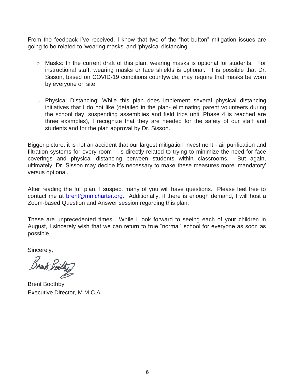From the feedback I've received, I know that two of the "hot button" mitigation issues are going to be related to 'wearing masks' and 'physical distancing'.

- o Masks: In the current draft of this plan, wearing masks is optional for students. For instructional staff, wearing masks or face shields is optional. It is possible that Dr. Sisson, based on COVID-19 conditions countywide, may require that masks be worn by everyone on site.
- o Physical Distancing: While this plan does implement several physical distancing initiatives that I do not like (detailed in the plan- eliminating parent volunteers during the school day, suspending assemblies and field trips until Phase 4 is reached are three examples), I recognize that they are needed for the safety of our staff and students and for the plan approval by Dr. Sisson.

Bigger picture, it is not an accident that our largest mitigation investment - air purification and filtration systems for every room – is directly related to trying to minimize the need for face coverings and physical distancing between students within classrooms. But again, ultimately, Dr. Sisson may decide it's necessary to make these measures more 'mandatory' versus optional.

After reading the full plan, I suspect many of you will have questions. Please feel free to contact me at [brent@mmcharter.org.](mailto:brent@mmcharter.org) Additionally, if there is enough demand, I will host a Zoom-based Question and Answer session regarding this plan.

These are unprecedented times. While I look forward to seeing each of your children in August, I sincerely wish that we can return to true "normal" school for everyone as soon as possible.

Sincerely,

Break Boo

Brent Boothby Executive Director, M.M.C.A.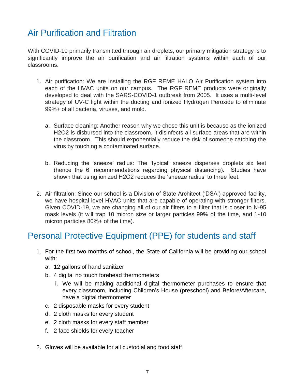#### Air Purification and Filtration

With COVID-19 primarily transmitted through air droplets, our primary mitigation strategy is to significantly improve the air purification and air filtration systems within each of our classrooms.

- 1. Air purification: We are installing the RGF REME HALO Air Purification system into each of the HVAC units on our campus. The RGF REME products were originally developed to deal with the SARS-COVID-1 outbreak from 2005. It uses a multi-level strategy of UV-C light within the ducting and ionized Hydrogen Peroxide to eliminate 99%+ of all bacteria, viruses, and mold.
	- a. Surface cleaning: Another reason why we chose this unit is because as the ionized H2O2 is disbursed into the classroom, it disinfects all surface areas that are within the classroom. This should exponentially reduce the risk of someone catching the virus by touching a contaminated surface.
	- b. Reducing the 'sneeze' radius: The 'typical' sneeze disperses droplets six feet (hence the 6' recommendations regarding physical distancing). Studies have shown that using ionized H2O2 reduces the 'sneeze radius' to three feet.
- 2. Air filtration: Since our school is a Division of State Architect ('DSA') approved facility, we have hospital level HVAC units that are capable of operating with stronger filters. Given COVID-19, we are changing all of our air filters to a filter that is closer to N-95 mask levels (it will trap 10 micron size or larger particles 99% of the time, and 1-10 micron particles 80%+ of the time).

#### Personal Protective Equipment (PPE) for students and staff

- 1. For the first two months of school, the State of California will be providing our school with:
	- a. 12 gallons of hand sanitizer
	- b. 4 digital no touch forehead thermometers
		- i. We will be making additional digital thermometer purchases to ensure that every classroom, including Children's House (preschool) and Before/Aftercare, have a digital thermometer
	- c. 2 disposable masks for every student
	- d. 2 cloth masks for every student
	- e. 2 cloth masks for every staff member
	- f. 2 face shields for every teacher
- 2. Gloves will be available for all custodial and food staff.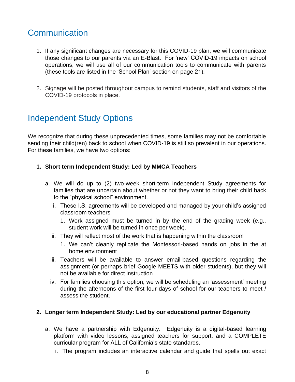#### **Communication**

- 1. If any significant changes are necessary for this COVID-19 plan, we will communicate those changes to our parents via an E-Blast. For 'new' COVID-19 impacts on school operations, we will use all of our communication tools to communicate with parents (these tools are listed in the 'School Plan' section on page 21).
- 2. Signage will be posted throughout campus to remind students, staff and visitors of the COVID-19 protocols in place.

#### Independent Study Options

We recognize that during these unprecedented times, some families may not be comfortable sending their child(ren) back to school when COVID-19 is still so prevalent in our operations. For these families, we have two options:

- **1. Short term Independent Study: Led by MMCA Teachers**
	- a. We will do up to (2) two-week short-term Independent Study agreements for families that are uncertain about whether or not they want to bring their child back to the "physical school" environment.
		- i. These I.S. agreements will be developed and managed by your child's assigned classroom teachers
			- 1. Work assigned must be turned in by the end of the grading week (e.g., student work will be turned in once per week).
		- ii. They will reflect most of the work that is happening within the classroom
			- 1. We can't cleanly replicate the Montessori-based hands on jobs in the at home environment
		- iii. Teachers will be available to answer email-based questions regarding the assignment (or perhaps brief Google MEETS with older students), but they will not be available for direct instruction
		- iv. For families choosing this option, we will be scheduling an 'assessment' meeting during the afternoons of the first four days of school for our teachers to meet / assess the student.

#### **2. Longer term Independent Study: Led by our educational partner Edgenuity**

- a. We have a partnership with Edgenuity. Edgenuity is a digital-based learning platform with video lessons, assigned teachers for support, and a COMPLETE curricular program for ALL of California's state standards.
	- i. The program includes an interactive calendar and guide that spells out exact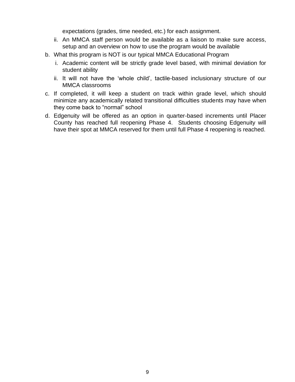expectations (grades, time needed, etc.) for each assignment.

- ii. An MMCA staff person would be available as a liaison to make sure access, setup and an overview on how to use the program would be available
- b. What this program is NOT is our typical MMCA Educational Program
	- i. Academic content will be strictly grade level based, with minimal deviation for student ability
	- ii. It will not have the 'whole child', tactile-based inclusionary structure of our MMCA classrooms
- c. If completed, it will keep a student on track within grade level, which should minimize any academically related transitional difficulties students may have when they come back to "normal" school
- d. Edgenuity will be offered as an option in quarter-based increments until Placer County has reached full reopening Phase 4. Students choosing Edgenuity will have their spot at MMCA reserved for them until full Phase 4 reopening is reached.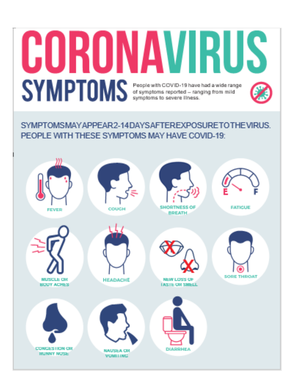# **CORONAVIRUS** SYMPTOMS Supplema to severe liness.

SYMPTOMSMAYAPPFAR2-14DAYSAFTFRFXPOSURFTOTHFVIRUS PEOPLE WITH THESE SYMPTOMS MAY HAVE COVID-19:

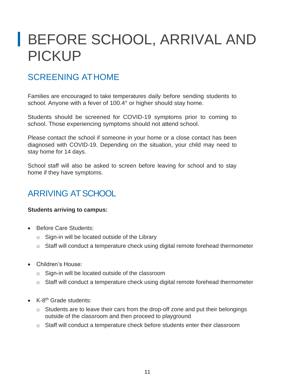# BEFORE SCHOOL, ARRIVAL AND PICKUP

## SCREENING ATHOME

Families are encouraged to take temperatures daily before sending students to school. Anyone with a fever of 100.4° or higher should stay home.

Students should be screened for COVID-19 symptoms prior to coming to school. Those experiencing symptoms should not attend school.

Please contact the school if someone in your home or a close contact has been diagnosed with COVID-19. Depending on the situation, your child may need to stay home for 14 days.

School staff will also be asked to screen before leaving for school and to stay home if they have symptoms.

## ARRIVING AT SCHOOL

#### **Students arriving to campus:**

- Before Care Students:
	- o Sign-in will be located outside of the Library
	- o Staff will conduct a temperature check using digital remote forehead thermometer
- Children's House:
	- o Sign-in will be located outside of the classroom
	- $\circ$  Staff will conduct a temperature check using digital remote forehead thermometer
- K-8<sup>th</sup> Grade students:
	- o Students are to leave their cars from the drop-off zone and put their belongings outside of the classroom and then proceed to playground
	- o Staff will conduct a temperature check before students enter their classroom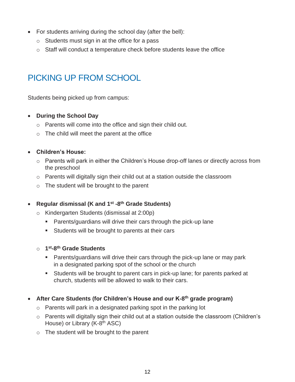- For students arriving during the school day (after the bell):
	- $\circ$  Students must sign in at the office for a pass
	- $\circ$  Staff will conduct a temperature check before students leave the office

## PICKING UP FROM SCHOOL

Students being picked up from campus:

- **During the School Day**
	- o Parents will come into the office and sign their child out.
	- $\circ$  The child will meet the parent at the office
- **Children's House:**
	- o Parents will park in either the Children's House drop-off lanes or directly across from the preschool
	- $\circ$  Parents will digitally sign their child out at a station outside the classroom
	- o The student will be brought to the parent

#### • **Regular dismissal (K and 1st -8 th Grade Students)**

- o Kindergarten Students (dismissal at 2:00p)
	- Parents/guardians will drive their cars through the pick-up lane
	- **EXECT** Students will be brought to parents at their cars
- o **1 st-8 th Grade Students**
	- **EXE** Parents/guardians will drive their cars through the pick-up lane or may park in a designated parking spot of the school or the church
	- Students will be brought to parent cars in pick-up lane; for parents parked at church, students will be allowed to walk to their cars.
- **After Care Students (for Children's House and our K-8 th grade program)**
	- o Parents will park in a designated parking spot in the parking lot
	- o Parents will digitally sign their child out at a station outside the classroom (Children's House) or Library (K-8<sup>th</sup> ASC)
	- o The student will be brought to the parent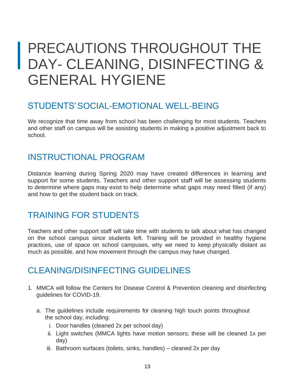# PRECAUTIONS THROUGHOUT THE DAY- CLEANING, DISINFECTING & GENERAL HYGIENE

#### STUDENTS'SOCIAL-EMOTIONAL WELL-BEING

We recognize that time away from school has been challenging for most students. Teachers and other staff on campus will be assisting students in making a positive adjustment back to school.

#### INSTRUCTIONAL PROGRAM

Distance learning during Spring 2020 may have created differences in learning and support for some students. Teachers and other support staff will be assessing students to determine where gaps may exist to help determine what gaps may need filled (if any) and how to get the student back on track.

## TRAINING FOR STUDENTS

Teachers and other support staff will take time with students to talk about what has changed on the school campus since students left. Training will be provided in healthy hygiene practices, use of space on school campuses, why we need to keep physically distant as much as possible, and how movement through the campus may have changed.

#### CLEANING/DISINFECTING GUIDELINES

- 1. MMCA will follow the Centers for Disease Control & Prevention cleaning and disinfecting guidelines for COVID-19.
	- a. The guidelines include requirements for cleaning high touch points throughout the school day, including:
		- i. Door handles (cleaned 2x per school day)
		- ii. Light switches (MMCA lights have motion sensors; these will be cleaned 1x per day)
		- iii. Bathroom surfaces (toilets, sinks, handles) cleaned 2x per day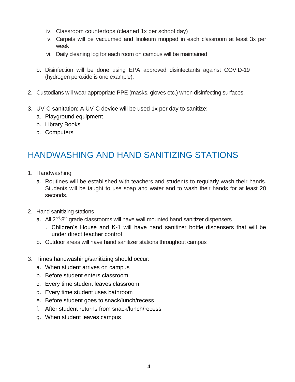- iv. Classroom countertops (cleaned 1x per school day)
- v. Carpets will be vacuumed and linoleum mopped in each classroom at least 3x per week
- vi. Daily cleaning log for each room on campus will be maintained
- b. Disinfection will be done using EPA approved disinfectants against COVID-19 (hydrogen peroxide is one example).
- 2. Custodians will wear appropriate PPE (masks, gloves etc.) when disinfecting surfaces.
- 3. UV-C sanitation: A UV-C device will be used 1x per day to sanitize:
	- a. Playground equipment
	- b. Library Books
	- c. Computers

## HANDWASHING AND HAND SANITIZING STATIONS

- 1. Handwashing
	- a. Routines will be established with teachers and students to regularly wash their hands. Students will be taught to use soap and water and to wash their hands for at least 20 seconds.
- 2. Hand sanitizing stations
	- a. All 2<sup>nd</sup>-8<sup>th</sup> grade classrooms will have wall mounted hand sanitizer dispensers
		- i. Children's House and K-1 will have hand sanitizer bottle dispensers that will be under direct teacher control
	- b. Outdoor areas will have hand sanitizer stations throughout campus
- 3. Times handwashing/sanitizing should occur:
	- a. When student arrives on campus
	- b. Before student enters classroom
	- c. Every time student leaves classroom
	- d. Every time student uses bathroom
	- e. Before student goes to snack/lunch/recess
	- f. After student returns from snack/lunch/recess
	- g. When student leaves campus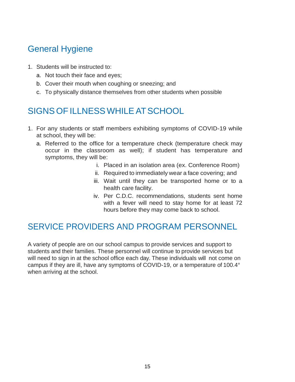## General Hygiene

- 1. Students will be instructed to:
	- a. Not touch their face and eyes;
	- b. Cover their mouth when coughing or sneezing; and
	- c. To physically distance themselves from other students when possible

## SIGNS OF ILLNESS WHILEAT SCHOOL

- 1. For any students or staff members exhibiting symptoms of COVID-19 while at school, they will be:
	- a. Referred to the office for a temperature check (temperature check may occur in the classroom as well); if student has temperature and symptoms, they will be:
		- i. Placed in an isolation area (ex. Conference Room)
		- ii. Required to immediately wear a face covering; and
		- iii. Wait until they can be transported home or to a health care facility.
		- iv. Per C.D.C. recommendations, students sent home with a fever will need to stay home for at least 72 hours before they may come back to school.

## SERVICE PROVIDERS AND PROGRAM PERSONNEL

A variety of people are on our school campus to provide services and support to students and their families. These personnel will continue to provide services but will need to sign in at the school office each day. These individuals will not come on campus if they are ill, have any symptoms of COVID-19, or a temperature of 100.4° when arriving at the school.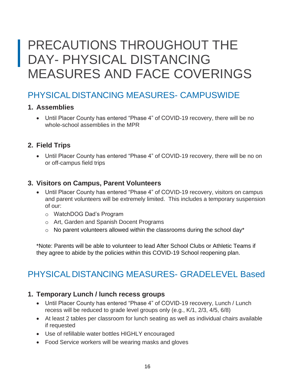## PRECAUTIONS THROUGHOUT THE DAY- PHYSICAL DISTANCING MEASURES AND FACE COVERINGS

#### PHYSICALDISTANCING MEASURES- CAMPUSWIDE

#### **1. Assemblies**

• Until Placer County has entered "Phase 4" of COVID-19 recovery, there will be no whole-school assemblies in the MPR

#### **2. Field Trips**

• Until Placer County has entered "Phase 4" of COVID-19 recovery, there will be no on or off-campus field trips

#### **3. Visitors on Campus, Parent Volunteers**

- Until Placer County has entered "Phase 4" of COVID-19 recovery, visitors on campus and parent volunteers will be extremely limited. This includes a temporary suspension of our:
	- o WatchDOG Dad's Program
	- o Art, Garden and Spanish Docent Programs
	- $\circ$  No parent volunteers allowed within the classrooms during the school day\*

\*Note: Parents will be able to volunteer to lead After School Clubs or Athletic Teams if they agree to abide by the policies within this COVID-19 School reopening plan.

## PHYSICALDISTANCING MEASURES- GRADELEVEL Based

#### **1. Temporary Lunch / lunch recess groups**

- Until Placer County has entered "Phase 4" of COVID-19 recovery, Lunch / Lunch recess will be reduced to grade level groups only (e.g., K/1, 2/3, 4/5, 6/8)
- At least 2 tables per classroom for lunch seating as well as individual chairs available if requested
- Use of refillable water bottles HIGHLY encouraged
- Food Service workers will be wearing masks and gloves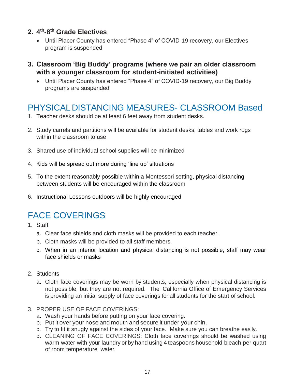#### **2. 4 th -8 th Grade Electives**

- Until Placer County has entered "Phase 4" of COVID-19 recovery, our Electives program is suspended
- **3. Classroom 'Big Buddy' programs (where we pair an older classroom with a younger classroom for student-initiated activities)**
	- Until Placer County has entered "Phase 4" of COVID-19 recovery, our Big Buddy programs are suspended

#### PHYSICALDISTANCING MEASURES- CLASSROOM Based

- 1. Teacher desks should be at least 6 feet away from student desks.
- 2. Study carrels and partitions will be available for student desks, tables and work rugs within the classroom to use
- 3. Shared use of individual school supplies will be minimized
- 4. Kids will be spread out more during 'line up' situations
- 5. To the extent reasonably possible within a Montessori setting, physical distancing between students will be encouraged within the classroom
- 6. Instructional Lessons outdoors will be highly encouraged

## FACE COVERINGS

- 1. Staff
	- a. Clear face shields and cloth masks will be provided to each teacher.
	- b. Cloth masks will be provided to all staff members.
	- c. When in an interior location and physical distancing is not possible, staff may wear face shields or masks
- 2. Students
	- a. Cloth face coverings may be worn by students, especially when physical distancing is not possible, but they are not required. The California Office of Emergency Services is providing an initial supply of face coverings for all students for the start of school.
- 3. PROPER USE OF FACE COVERINGS:
	- a. Wash your hands before putting on your face covering.
	- b. Put it over your nose and mouth and secure it under your chin.
	- c. Try to fit it snugly against the sides of your face. Make sure you can breathe easily.
	- d. CLEANING OF FACE COVERINGS: Cloth face coverings should be washed using warm water with your laundry or by hand using 4 teaspoons household bleach per quart of room temperature water.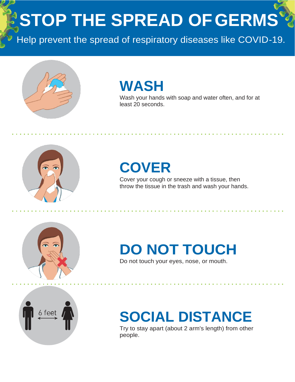**STOP THE SPREAD OFGERMS**

Help prevent the spread of respiratory diseases like COVID-19.



## **WASH**

Wash your hands with soap and water often, and for at least 20 seconds.



# **COVER**

Cover your cough or sneeze with a tissue, then throw the tissue in the trash and wash your hands.



# **DO NOT TOUCH**

Do not touch your eyes, nose, or mouth.



# **SOCIAL DISTANCE**

Try to stay apart (about 2 arm's length) from other people.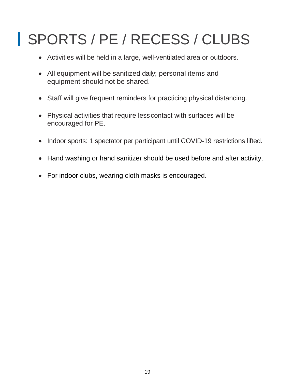# SPORTS / PE / RECESS / CLUBS

- Activities will be held in a large, well-ventilated area or outdoors.
- All equipment will be sanitized daily; personal items and equipment should not be shared.
- Staff will give frequent reminders for practicing physical distancing.
- Physical activities that require lesscontact with surfaces will be encouraged for PE.
- Indoor sports: 1 spectator per participant until COVID-19 restrictions lifted.
- Hand washing or hand sanitizer should be used before and after activity.
- For indoor clubs, wearing cloth masks is encouraged.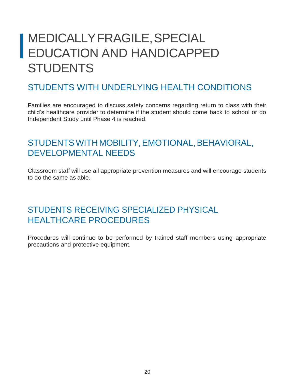## MEDICALLYFRAGILE,SPECIAL EDUCATION AND HANDICAPPED **STUDENTS**

#### STUDENTS WITH UNDERLYING HEALTH CONDITIONS

Families are encouraged to discuss safety concerns regarding return to class with their child's healthcare provider to determine if the student should come back to school or do Independent Study until Phase 4 is reached.

#### STUDENTS WITH MOBILITY, EMOTIONAL, BEHAVIORAL, DEVELOPMENTAL NEEDS

Classroom staff will use all appropriate prevention measures and will encourage students to do the same as able.

#### STUDENTS RECEIVING SPECIALIZED PHYSICAL HEALTHCARE PROCEDURES

Procedures will continue to be performed by trained staff members using appropriate precautions and protective equipment.